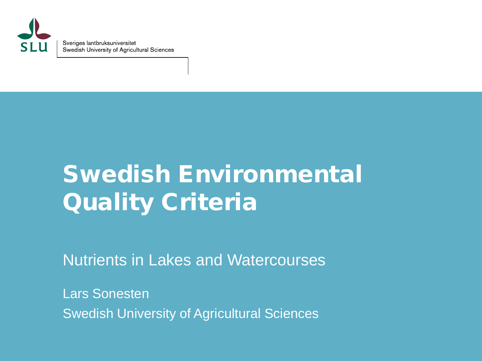

Sveriges lantbruksuniversitet Swedish University of Agricultural Sciences

#### Swedish Environmental Quality Criteria

Nutrients in Lakes and Watercourses

Lars Sonesten Swedish University of Agricultural Sciences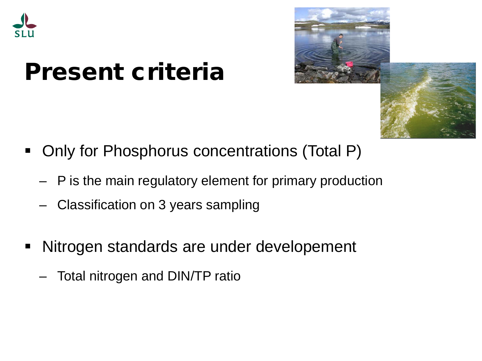

#### Present criteria

- Only for Phosphorus concentrations (Total P)
	- P is the main regulatory element for primary production
	- Classification on 3 years sampling
- Nitrogen standards are under developement
	- Total nitrogen and DIN/TP ratio

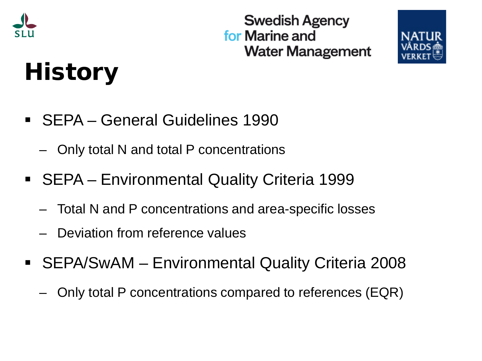

**Swedish Agency** for Marine and **Water Management** 



# **History**

- SEPA General Guidelines 1990
	- Only total N and total P concentrations
- SEPA Environmental Quality Criteria 1999
	- Total N and P concentrations and area-specific losses
	- Deviation from reference values
- SEPA/SwAM Environmental Quality Criteria 2008
	- Only total P concentrations compared to references (EQR)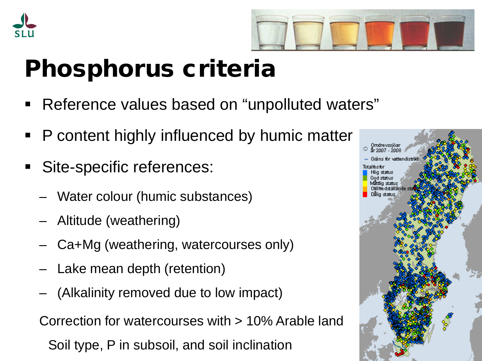



### Phosphorus criteria

- Reference values based on "unpolluted waters"
- P content highly influenced by humic matter
- **Site-specific references:** 
	- Water colour (humic substances)
	- Altitude (weathering)
	- Ca+Mg (weathering, watercourses only)
	- Lake mean depth (retention)
	- (Alkalinity removed due to low impact)

Correction for watercourses with > 10% Arable land Soil type, P in subsoil, and soil inclination

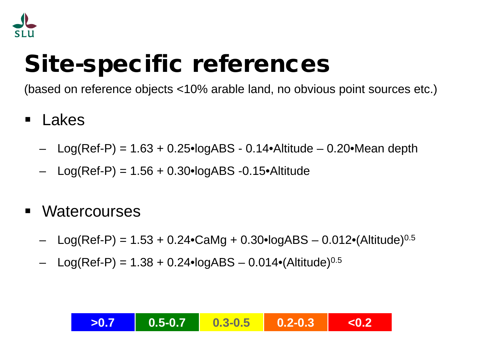

## Site-specific references

(based on reference objects <10% arable land, no obvious point sources etc.)

- Lakes
	- Log(Ref-P) =  $1.63 + 0.25$ •logABS 0.14•Altitude 0.20•Mean depth
	- $Log(Ref-P) = 1.56 + 0.30 \cdot logABS -0.15 \cdot Altitude$
- **Watercourses** 
	- Log(Ref-P) =  $1.53 + 0.24$ •CaMg + 0.30•logABS 0.012•(Altitude)<sup>0.5</sup>
	- $Log(Ref-P) = 1.38 + 0.24 \cdot logABS 0.014 \cdot (Altitude)^{0.5}$

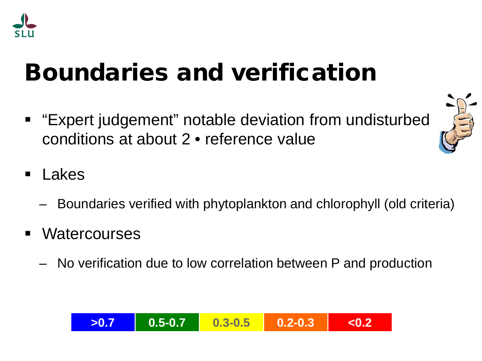

### Boundaries and verification

 "Expert judgement" notable deviation from undisturbed conditions at about 2 • reference value



- Lakes
	- Boundaries verified with phytoplankton and chlorophyll (old criteria)
- **Watercourses** 
	- No verification due to low correlation between P and production

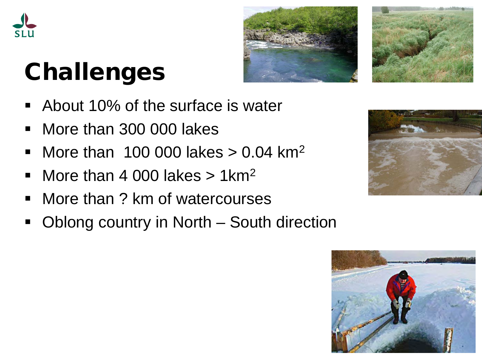





# Challenges

- About 10% of the surface is water
- More than 300 000 lakes
- More than 100 000 lakes  $> 0.04$  km<sup>2</sup>
- More than 4 000 lakes  $> 1$  km<sup>2</sup>
- More than ? km of watercourses
- Oblong country in North South direction



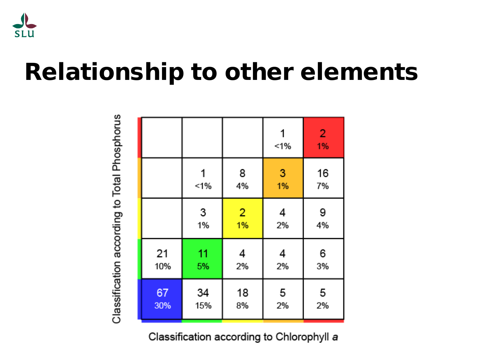

#### Relationship to other elements

Classification according to Total Phosphorus

|     |      |                | $< 1\%$ | $\overline{2}$<br>1% |
|-----|------|----------------|---------|----------------------|
|     | 1    | 8              | 3       | 16                   |
|     | < 1% | 4%             | 1%      | 7%                   |
|     | 3    | $\overline{2}$ | 4       | 9                    |
|     | 1%   | 1%             | 2%      | 4%                   |
| 21  | 11   | 4              | 4       | 6                    |
| 10% | 5%   | 2%             | 2%      | 3%                   |
| 67  | 34   | 18             | 5       | 5                    |
| 30% | 15%  | 8%             | 2%      | 2%                   |

Classification according to Chlorophyll a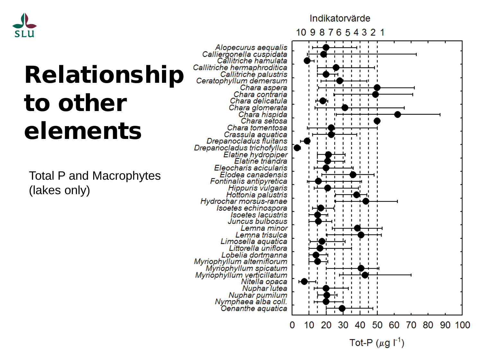

## Relationship to other elements

Total P and Macrophytes (lakes only)

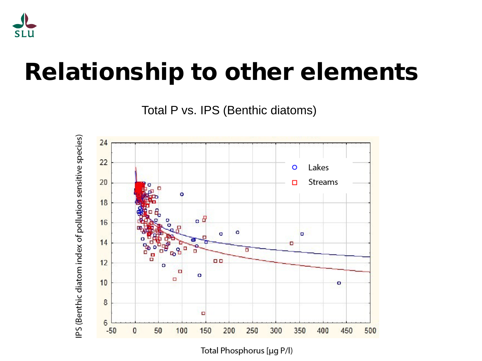

#### Relationship to other elements

Total P vs. IPS (Benthic diatoms)



Total Phosphorus [µg P/l)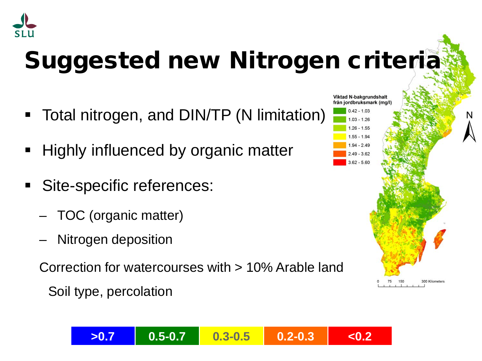

# Suggested new Nitrogen criteria

- Total nitrogen, and DIN/TP (N limitation)
- Highly influenced by organic matter
- **Site-specific references:** 
	- TOC (organic matter)
	- Nitrogen deposition
	- Correction for watercourses with > 10% Arable land
		- Soil type, percolation